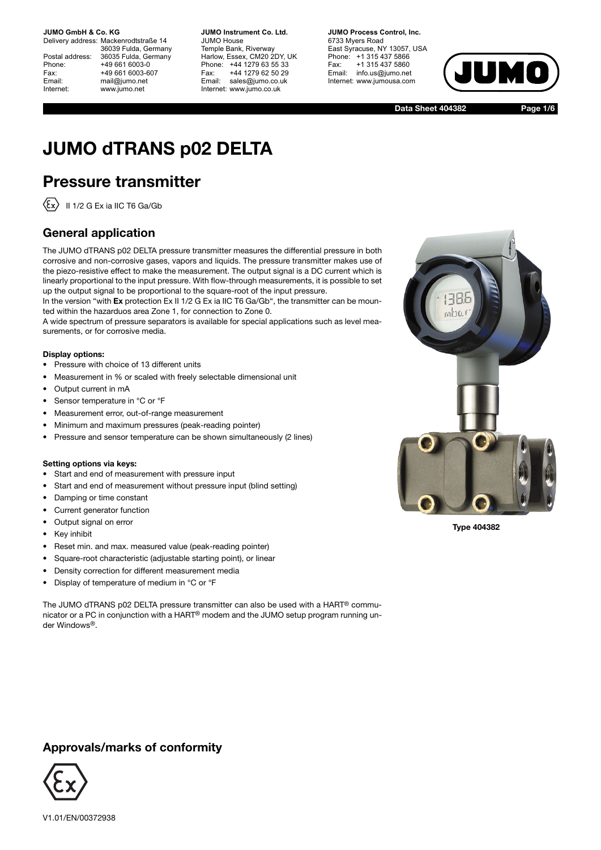**JUMO GmbH & Co. KG.** 

Delivery address: Mackenrodtstraße 14 36039 Fulda, Germany Postal address: 36035 Fulda, Germany<br>Phone: +49 661 6003-0 Phone: +49 661 6003-0<br>Fax: +49 661 6003-6 Fax: +49 661 6003-607<br>
Fmail: mail@iumo.net mail@iumo.net Internet: www.jumo.net

**-BUMO Instrument Co. Ltd.** JUMO House Temple Bank, Riverway Harlow, Essex, CM20 2DY, UK Phone: +44 1279 63 55 33<br>Fax: +44 1279 62 50 29 Fax: +44 1279 62 50 29<br>Email: sales@iumo.co.uk sales@jumo.co.uk Internet: www.jumo.co.uk

**-BURG Process Control Inc.** 6733 Myers Road East Syracuse, NY 13057, USA Phone: +1 315 437 5866<br>Fax: +1 315 437 5860 Fax: +1 315 437 5860<br>Email: info.us@jumo.net info.us@jumo.net Internet: www.jumousa.com



**Data Sheet 404382 Page 1/6**

# **JUMO dTRANS p02 DELTA**

# **Pressure transmitter**

 $\langle \xi_{\mathbf{x}} \rangle$  II 1/2 G Ex ia IIC T6 Ga/Gb

# **General application**

The JUMO dTRANS p02 DELTA pressure transmitter measures the differential pressure in both corrosive and non-corrosive gases, vapors and liquids. The pressure transmitter makes use of the piezo-resistive effect to make the measurement. The output signal is a DC current which is linearly proportional to the input pressure. With flow-through measurements, it is possible to set up the output signal to be proportional to the square-root of the input pressure.

In the version "with **Ex** protection Ex II 1/2 G Ex ia IIC T6 Ga/Gb", the transmitter can be mounted within the hazarduos area Zone 1, for connection to Zone 0.

A wide spectrum of pressure separators is available for special applications such as level measurements, or for corrosive media.

# **Display options:**

- Pressure with choice of 13 different units
- Measurement in % or scaled with freely selectable dimensional unit
- Output current in mA
- Sensor temperature in °C or °F
- Measurement error, out-of-range measurement
- Minimum and maximum pressures (peak-reading pointer)
- Pressure and sensor temperature can be shown simultaneously (2 lines)

# **Setting options via keys:**

- Start and end of measurement with pressure input
- Start and end of measurement without pressure input (blind setting)
- Damping or time constant
- Current generator function
- Output signal on error
- Key inhibit
- Reset min. and max. measured value (peak-reading pointer)
- Square-root characteristic (adjustable starting point), or linear
- Density correction for different measurement media
- Display of temperature of medium in °C or °F

The JUMO dTRANS p02 DELTA pressure transmitter can also be used with a HART® communicator or a PC in conjunction with a HART® modem and the JUMO setup program running under Windows®.

# **Approvals/marks of conformity**





**Type 404382**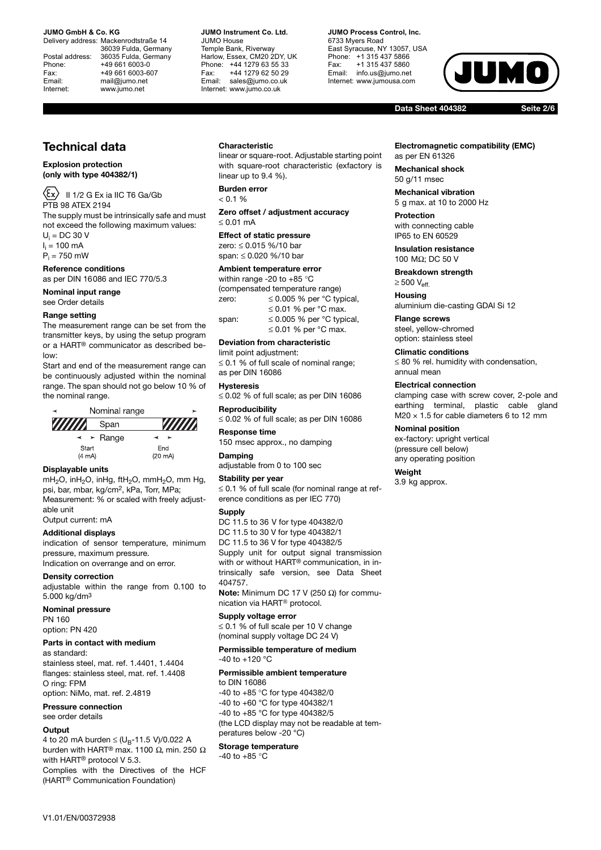#### **JUMO GmbH & Co. KG.**

Delivery address: Mackenrodtstraße 14 36039 Fulda, Germany Postal address: 36035 Fulda, Germany<br>Phone: +49 661 6003-0 Phone: +49 661 6003-0<br>Fax: +49 661 6003-6 Fax: +49 661 6003-607<br>
Fmail: mail@iumo.net mail@iumo.net Internet: www.jumo.net

**-BUMO Instrument Co. Ltd.** JUMO House Temple Bank, Riverway Harlow, Essex, CM20 2DY, UK Phone: +44 1279 63 55 33<br>Fax: +44 1279 62 50 29 Fax: +44 1279 62 50 29<br>Email: sales@iumo.co.uk sales@iumo.co.uk Internet: www.jumo.co.uk

#### **-BIMO Process Control Inc.** 6733 Myers Road East Syracuse, NY 13057, USA Phone: +1 315 437 5866<br>Fax: +1 315 437 5860 Fax: +1 315 437 5860<br>Email: info.us@jumo.net info.us@jumo.net Internet: www.iumousa.com



**Data Sheet 404382 Seite 2/6**

# **Technical data**

## **Explosion protection (only with type 404382/1)**

 $\langle \xi \chi \rangle$  II 1/2 G Ex ia IIC T6 Ga/Gb PTB 98 ATEX 2194 The supply must be intrinsically safe and must not exceed the following maximum values:  $U_i$  = DC 30 V  $I_i = 100$  mA P<sub>i</sub> = 750 mW

**Reference conditions** as per DIN 16086 and IEC 770/5.3

# **Nominal input range**

see Order details

# **Range setting**

The measurement range can be set from the transmitter keys, by using the setup program or a HART® communicator as described below:

Start and end of the measurement range can be continuously adjusted within the nominal range. The span should not go below 10 % of the nominal range.



#### **Displayable units**

mH<sub>2</sub>O, inH<sub>2</sub>O, inHg, ftH<sub>2</sub>O, mmH<sub>2</sub>O, mm Hg, psi, bar, mbar, kg/cm2, kPa, Torr, MPa; Measurement: % or scaled with freely adjustable unit

Output current: mA

#### **Additional displays**

indication of sensor temperature, minimum pressure, maximum pressure. Indication on overrange and on error.

#### **Density correction**

adjustable within the range from 0.100 to 5.000 kg/dm3

#### **Nominal pressure**

PN 160 option: PN 420

O ring: FPM

#### **Parts in contact with medium**

as standard: stainless steel, mat. ref. 1.4401, 1.4404 flanges: stainless steel, mat. ref. 1.4408

option: NiMo, mat. ref. 2.4819

**Pressure connection**

## see order details

#### **Output**

4 to 20 mA burden  $\leq$  (U<sub>B</sub>-11.5 V)/0.022 A burden with HART<sup>®</sup> max. 1100  $\Omega$ , min. 250  $\Omega$ with HART® protocol V 5.3. Complies with the Directives of the HCF (HART® Communication Foundation)

#### **Characteristic**

linear or square-root. Adjustable starting point with square-root characteristic (exfactory is linear up to 9.4 %).

#### **Burden error**

 $< 0.1 \%$ 

**Zero offset / adjustment accuracy**  $\leq 0.01$  mA

#### **Effect of static pressure** zero: 0.015 %/10 bar span:  $\leq 0.020$  %/10 bar

#### **Ambient temperature error**

within range -20 to +85  $^{\circ}$ C

|       | (compensated temperature range) |
|-------|---------------------------------|
| zero: | $\leq$ 0.005 % per °C typical,  |
|       |                                 |

|       | $\leq$ 0.01 % per °C max.      |
|-------|--------------------------------|
| span: | $\leq$ 0.005 % per °C typical, |
|       | $\leq$ 0.01 % per °C max.      |

#### **Deviation from characteristic**

limit point adjustment:  $\leq$  0.1 % of full scale of nominal range; as per DIN 16086

#### **Hysteresis**

 $\leq$  0.02 % of full scale; as per DIN 16086

# **Reproducibility**

 $\leq$  0.02 % of full scale; as per DIN 16086

**Response time** 150 msec approx., no damping

#### **Damping**

adjustable from 0 to 100 sec

#### **Stability per year**

 $\leq$  0.1 % of full scale (for nominal range at reference conditions as per IEC 770)

## **Supply**

DC 11.5 to 36 V for type 404382/0 DC 11.5 to 30 V for type 404382/1 DC 11.5 to 36 V for type 404382/5 Supply unit for output signal transmission with or without HART<sup>®</sup> communication, in intrinsically safe version, see Data Sheet 404757.

**Note:** Minimum DC 17 V (250  $\Omega$ ) for communication via HART<sup>®</sup> protocol.

#### **Supply voltage error**

 $\leq$  0.1 % of full scale per 10 V change (nominal supply voltage DC 24 V)

#### **Permissible temperature of medium**  $-40$  to  $+120$  °C

#### **Permissible ambient temperature** to DIN 16086

 $-40$  to  $+85$  °C for type  $404382/0$ -40 to +60 °C for type 404382/1 -40 to +85 °C for type 404382/5 (the LCD display may not be readable at temperatures below -20 °C)

### **Storage temperature**

 $-40$  to  $+85$  °C

#### **Electromagnetic compatibility (EMC)** as per EN 61326

**Mechanical shock** 50 g/11 msec

## **Mechanical vibration**

5 g max. at 10 to 2000 Hz

**Protection** with connecting cable IP65 to EN 60529

**Insulation resistance** 100  $M\Omega$ ; DC 50 V

# **Breakdown strength**

 $\geq 500$  V<sub>eff</sub>.

**Housing** aluminium die-casting GDAl Si 12

# **Flange screws**

steel, yellow-chromed option: stainless steel

## **Climatic conditions**

 $\leq$  80 % rel. humidity with condensation, annual mean

#### **Electrical connection**

clamping case with screw cover, 2-pole and earthing terminal, plastic cable gland  $M20 \times 1.5$  for cable diameters 6 to 12 mm

## **Nominal position**

ex-factory: upright vertical (pressure cell below) any operating position

# **Weight**

3.9 kg approx.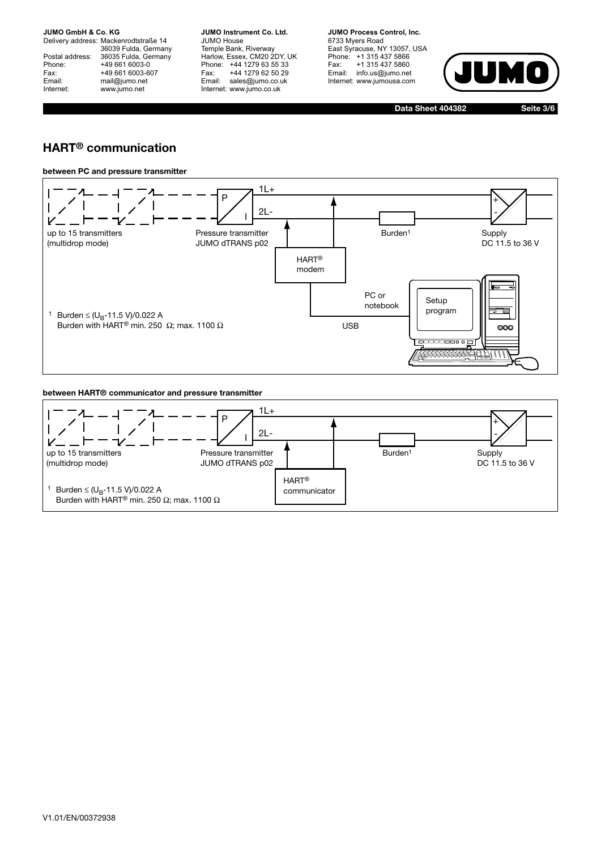## **JUMO GmbH & Co. KG.**

Delivery address: Mackenrodtstraße 14 36039 Fulda, Germany<br>Postal address: 36035 Fulda, Germany Phone: +49 661 6003-0<br>
Fax: +49 661 6003-6<br>
Email: mail@jumo.net +49 661 6003-607 mail@jumo.net Internet: www.jumo.net

**JUMO Instrument Co. Ltd.** JUMO House Temple Bank, Riverway<br>Harlow, Essex, CM20 2DY, UK Phone: +44 1279 63 55 33<br>Fax: +44 1279 62 50 29 +44 1279 62 50 29 Email: sales@jumo.co.uk Internet: www.jumo.co.uk

**JUMO Process Control, Inc.** 6733 Myers Road East Syracuse, NY 13057, USA Phone: +1 315 437 5866<br>Fax: +1 315 437 5860 Email: info.us@jumo.net Internet: www.jumousa.com



**Data Sheet 404382 Seite 3/6**

# **HART® communication**





## **between HART® communicator and pressure transmitter**

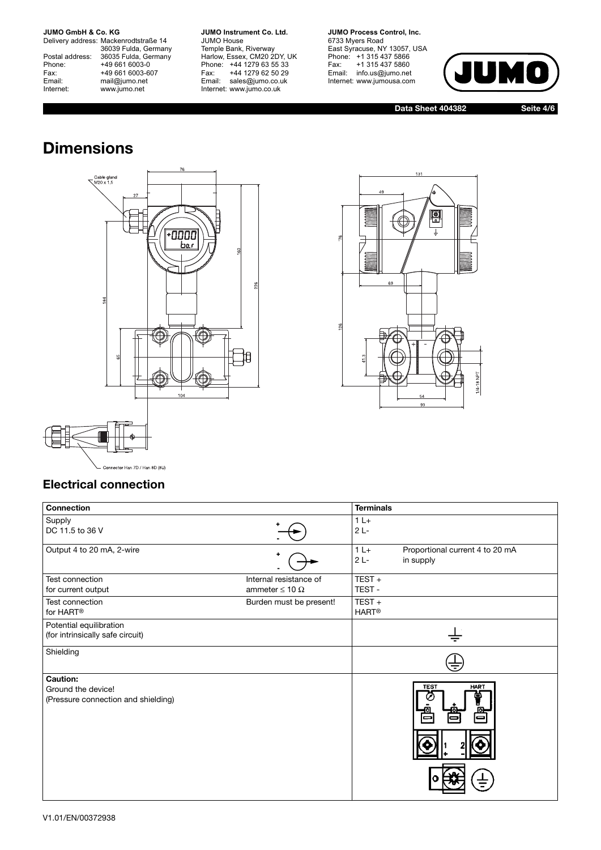**JUMO GmbH & Co. KG** 

Delivery address: Mackenrodtstraße 14 36039 Fulda, Germany<br>Postal address: 36035 Fulda, Germany Phone: +49 661 6003-0<br>
Fax: +49 661 6003-6<br>
Email: mail@jumo.net +49 661 6003-607 Email: mail@jumo.net<br>Internet: www.iumo.net www.jumo.net

**JUMO Instrument Co. Ltd.** JUMO House Temple Bank, Riverway<br>Harlow, Essex, CM20 2DY, UK Phone: +44 1279 63 55 33<br>Fax: +44 1279 62 50 29 +44 1279 62 50 29 Email: sales@jumo.co.uk Internet: www.jumo.co.uk

**JUMO Process Control, Inc.** 6733 Myers Road East Syracuse, NY 13057, USA<br>Phone: +1 315 437 5866<br>Fax: +1 315 437 5860 Fax: +1 315 437 5860<br>Email: info.us@jumo.net Internet: www.jumousa.com



**Data Sheet 404382 Seite 4/6**

# **Dimensions**





# **Electrical connection**

| <b>Connection</b>                                                            |                                                    |                       | <b>Terminals</b>                             |  |  |
|------------------------------------------------------------------------------|----------------------------------------------------|-----------------------|----------------------------------------------|--|--|
| Supply<br>DC 11.5 to 36 V                                                    |                                                    | $1L+$<br>$2L -$       |                                              |  |  |
| Output 4 to 20 mA, 2-wire                                                    | ۰                                                  | $1L+$<br>$2L -$       | Proportional current 4 to 20 mA<br>in supply |  |  |
| Test connection<br>for current output                                        | Internal resistance of<br>ammeter $\leq 10 \Omega$ | TEST +<br>TEST-       |                                              |  |  |
| Test connection<br>for HART <sup>®</sup>                                     | Burden must be present!                            | TEST+<br><b>HART®</b> |                                              |  |  |
| Potential equilibration<br>(for intrinsically safe circuit)                  |                                                    |                       |                                              |  |  |
| Shielding                                                                    |                                                    |                       |                                              |  |  |
| <b>Caution:</b><br>Ground the device!<br>(Pressure connection and shielding) |                                                    |                       | <b>TEST</b><br><b>HART</b>                   |  |  |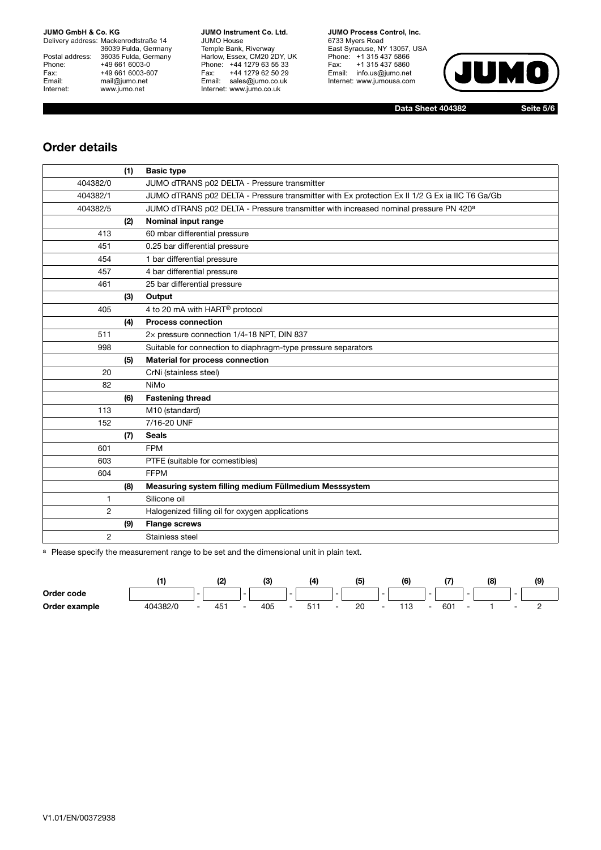## **JUMO GmbH & Co. KG**

Delivery address: Mackenrodtstraße 14 36039 Fulda, Germany<br>Postal address: 36035 Fulda, Germany Phone: +49 661 6003-0<br>
Fax: +49 661 6003-6<br>
Email: mail@jumo.net +49 661 6003-607 Email: mail@jumo.net<br>Internet: www.iumo.net www.jumo.net

**JUMO Instrument Co. Ltd.** JUMO House Temple Bank, Riverway<br>Harlow, Essex, CM20 2DY, UK Phone: +44 1279 63 55 33<br>Fax: +44 1279 62 50 29 +44 1279 62 50 29 Email: sales@jumo.co.uk Internet: www.jumo.co.uk

**JUMO Process Control, Inc.** 6733 Myers Road East Syracuse, NY 13057, USA<br>Phone: +1 315 437 5866<br>Fax: +1 315 437 5860 rax. Tribitary 5000 Internet: www.jumousa.com



**Data Sheet 404382 Seite 5/6**

# **Order details**

|          | (1) | <b>Basic type</b>                                                                                |
|----------|-----|--------------------------------------------------------------------------------------------------|
| 404382/0 |     | JUMO dTRANS p02 DELTA - Pressure transmitter                                                     |
| 404382/1 |     | JUMO dTRANS p02 DELTA - Pressure transmitter with Ex protection Ex II 1/2 G Ex ia IIC T6 Ga/Gb   |
| 404382/5 |     | JUMO dTRANS p02 DELTA - Pressure transmitter with increased nominal pressure PN 420 <sup>a</sup> |
|          | (2) | Nominal input range                                                                              |
| 413      |     | 60 mbar differential pressure                                                                    |
| 451      |     | 0.25 bar differential pressure                                                                   |
| 454      |     | 1 bar differential pressure                                                                      |
| 457      |     | 4 bar differential pressure                                                                      |
| 461      |     | 25 bar differential pressure                                                                     |
|          | (3) | Output                                                                                           |
| 405      |     | 4 to 20 mA with HART <sup>®</sup> protocol                                                       |
|          | (4) | <b>Process connection</b>                                                                        |
| 511      |     | 2x pressure connection 1/4-18 NPT, DIN 837                                                       |
| 998      |     | Suitable for connection to diaphragm-type pressure separators                                    |
|          | (5) | <b>Material for process connection</b>                                                           |
| 20       |     | CrNi (stainless steel)                                                                           |
| 82       |     | NiMo                                                                                             |
|          | (6) | <b>Fastening thread</b>                                                                          |
| 113      |     | M10 (standard)                                                                                   |
| 152      |     | 7/16-20 UNF                                                                                      |
|          | (7) | <b>Seals</b>                                                                                     |
| 601      |     | <b>FPM</b>                                                                                       |
| 603      |     | PTFE (suitable for comestibles)                                                                  |
| 604      |     | <b>FFPM</b>                                                                                      |
|          | (8) | Measuring system filling medium Füllmedium Messsystem                                            |
| 1        |     | Silicone oil                                                                                     |
| 2        |     | Halogenized filling oil for oxygen applications                                                  |
|          | (9) | <b>Flange screws</b>                                                                             |
| 2        |     | Stainless steel                                                                                  |

a Please specify the measurement range to be set and the dimensional unit in plain text.